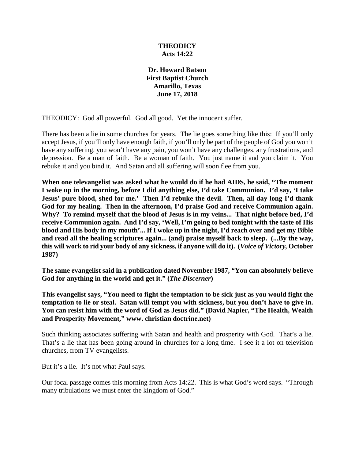## **THEODICY Acts 14:22**

**Dr. Howard Batson First Baptist Church Amarillo, Texas June 17, 2018**

THEODICY: God all powerful. God all good. Yet the innocent suffer.

There has been a lie in some churches for years. The lie goes something like this: If you'll only accept Jesus, if you'll only have enough faith, if you'll only be part of the people of God you won't have any suffering, you won't have any pain, you won't have any challenges, any frustrations, and depression. Be a man of faith. Be a woman of faith. You just name it and you claim it. You rebuke it and you bind it. And Satan and all suffering will soon flee from you.

**When one televangelist was asked what he would do if he had AIDS, he said, "The moment I woke up in the morning, before I did anything else, I'd take Communion. I'd say, 'I take Jesus' pure blood, shed for me.' Then I'd rebuke the devil. Then, all day long I'd thank God for my healing. Then in the afternoon, I'd praise God and receive Communion again. Why? To remind myself that the blood of Jesus is in my veins... That night before bed, I'd receive Communion again. And I'd say, 'Well, I'm going to bed tonight with the taste of His blood and His body in my mouth'... If I woke up in the night, I'd reach over and get my Bible and read all the healing scriptures again... (and) praise myself back to sleep. (...By the way, this will work to rid your body of any sickness, if anyone will do it). (***Voice of Victory,* **October 1987)**

**The same evangelist said in a publication dated November 1987, "You can absolutely believe God for anything in the world and get it." (***The Discerner***)**

**This evangelist says, "You need to fight the temptation to be sick just as you would fight the temptation to lie or steal. Satan will tempt you with sickness, but you don't have to give in. You can resist him with the word of God as Jesus did." (David Napier, "The Health, Wealth and Prosperity Movement," www. christian doctrine.net)**

Such thinking associates suffering with Satan and health and prosperity with God. That's a lie. That's a lie that has been going around in churches for a long time. I see it a lot on television churches, from TV evangelists.

But it's a lie. It's not what Paul says.

Our focal passage comes this morning from Acts 14:22. This is what God's word says. "Through many tribulations we must enter the kingdom of God."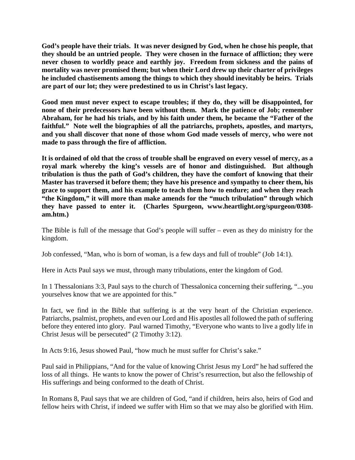**God's people have their trials. It was never designed by God, when he chose his people, that they should be an untried people. They were chosen in the furnace of affliction; they were never chosen to worldly peace and earthly joy. Freedom from sickness and the pains of mortality was never promised them; but when their Lord drew up their charter of privileges he included chastisements among the things to which they should inevitably be heirs. Trials are part of our lot; they were predestined to us in Christ's last legacy.** 

**Good men must never expect to escape troubles; if they do, they will be disappointed, for none of their predecessors have been without them. Mark the patience of Job; remember Abraham, for he had his trials, and by his faith under them, he became the "Father of the**  faithful." Note well the biographies of all the patriarchs, prophets, apostles, and martyrs, **and you shall discover that none of those whom God made vessels of mercy, who were not made to pass through the fire of affliction.** 

**It is ordained of old that the cross of trouble shall be engraved on every vessel of mercy, as a royal mark whereby the king's vessels are of honor and distinguished. But although tribulation is thus the path of God's children, they have the comfort of knowing that their Master has traversed it before them; they have his presence and sympathy to cheer them, his grace to support them, and his example to teach them how to endure; and when they reach "the Kingdom," it will more than make amends for the "much tribulation" through which they have passed to enter it. (Charles Spurgeon, www.heartlight.org/spurgeon/0308 am.htm.)**

The Bible is full of the message that God's people will suffer – even as they do ministry for the kingdom.

Job confessed, "Man, who is born of woman, is a few days and full of trouble" (Job 14:1).

Here in Acts Paul says we must, through many tribulations, enter the kingdom of God.

In 1 Thessalonians 3:3, Paul says to the church of Thessalonica concerning their suffering, "...you yourselves know that we are appointed for this."

In fact, we find in the Bible that suffering is at the very heart of the Christian experience. Patriarchs, psalmist, prophets, and even our Lord and His apostles all followed the path of suffering before they entered into glory. Paul warned Timothy, "Everyone who wants to live a godly life in Christ Jesus will be persecuted" (2 Timothy 3:12).

In Acts 9:16, Jesus showed Paul, "how much he must suffer for Christ's sake."

Paul said in Philippians, "And for the value of knowing Christ Jesus my Lord" he had suffered the loss of all things. He wants to know the power of Christ's resurrection, but also the fellowship of His sufferings and being conformed to the death of Christ.

In Romans 8, Paul says that we are children of God, "and if children, heirs also, heirs of God and fellow heirs with Christ, if indeed we suffer with Him so that we may also be glorified with Him.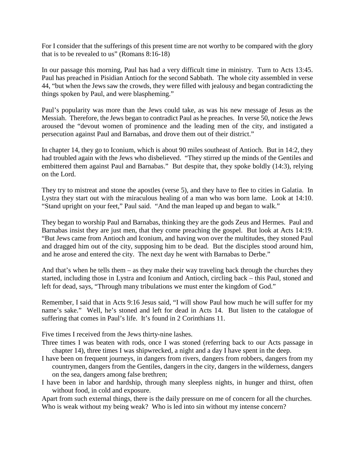For I consider that the sufferings of this present time are not worthy to be compared with the glory that is to be revealed to us" (Romans 8:16-18)

In our passage this morning, Paul has had a very difficult time in ministry. Turn to Acts 13:45. Paul has preached in Pisidian Antioch for the second Sabbath. The whole city assembled in verse 44, "but when the Jews saw the crowds, they were filled with jealousy and began contradicting the things spoken by Paul, and were blaspheming."

Paul's popularity was more than the Jews could take, as was his new message of Jesus as the Messiah. Therefore, the Jews began to contradict Paul as he preaches. In verse 50, notice the Jews aroused the "devout women of prominence and the leading men of the city, and instigated a persecution against Paul and Barnabas, and drove them out of their district."

In chapter 14, they go to Iconium, which is about 90 miles southeast of Antioch. But in 14:2, they had troubled again with the Jews who disbelieved. "They stirred up the minds of the Gentiles and embittered them against Paul and Barnabas." But despite that, they spoke boldly (14:3), relying on the Lord.

They try to mistreat and stone the apostles (verse 5), and they have to flee to cities in Galatia. In Lystra they start out with the miraculous healing of a man who was born lame. Look at 14:10. "Stand upright on your feet," Paul said. "And the man leaped up and began to walk."

They began to worship Paul and Barnabas, thinking they are the gods Zeus and Hermes. Paul and Barnabas insist they are just men, that they come preaching the gospel. But look at Acts 14:19. "But Jews came from Antioch and Iconium, and having won over the multitudes, they stoned Paul and dragged him out of the city, supposing him to be dead. But the disciples stood around him, and he arose and entered the city. The next day he went with Barnabas to Derbe."

And that's when he tells them – as they make their way traveling back through the churches they started, including those in Lystra and Iconium and Antioch, circling back – this Paul, stoned and left for dead, says, "Through many tribulations we must enter the kingdom of God."

Remember, I said that in Acts 9:16 Jesus said, "I will show Paul how much he will suffer for my name's sake." Well, he's stoned and left for dead in Acts 14. But listen to the catalogue of suffering that comes in Paul's life. It's found in 2 Corinthians 11.

Five times I received from the Jews thirty-nine lashes.

Three times I was beaten with rods, once I was stoned (referring back to our Acts passage in chapter 14), three times I was shipwrecked, a night and a day I have spent in the deep.

- I have been on frequent journeys, in dangers from rivers, dangers from robbers, dangers from my countrymen, dangers from the Gentiles, dangers in the city, dangers in the wilderness, dangers on the sea, dangers among false brethren;
- I have been in labor and hardship, through many sleepless nights, in hunger and thirst, often without food, in cold and exposure.

Apart from such external things, there is the daily pressure on me of concern for all the churches. Who is weak without my being weak? Who is led into sin without my intense concern?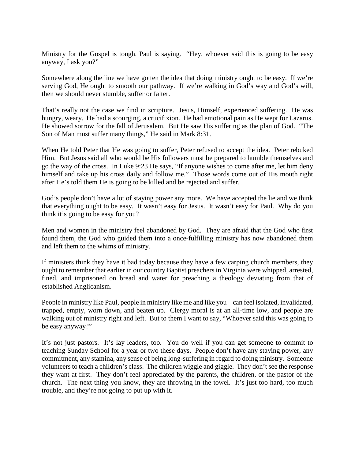Ministry for the Gospel is tough, Paul is saying. "Hey, whoever said this is going to be easy anyway, I ask you?"

Somewhere along the line we have gotten the idea that doing ministry ought to be easy. If we're serving God, He ought to smooth our pathway. If we're walking in God's way and God's will, then we should never stumble, suffer or falter.

That's really not the case we find in scripture. Jesus, Himself, experienced suffering. He was hungry, weary. He had a scourging, a crucifixion. He had emotional pain as He wept for Lazarus. He showed sorrow for the fall of Jerusalem. But He saw His suffering as the plan of God. "The Son of Man must suffer many things," He said in Mark 8:31.

When He told Peter that He was going to suffer, Peter refused to accept the idea. Peter rebuked Him. But Jesus said all who would be His followers must be prepared to humble themselves and go the way of the cross. In Luke 9:23 He says, "If anyone wishes to come after me, let him deny himself and take up his cross daily and follow me." Those words come out of His mouth right after He's told them He is going to be killed and be rejected and suffer.

God's people don't have a lot of staying power any more. We have accepted the lie and we think that everything ought to be easy. It wasn't easy for Jesus. It wasn't easy for Paul. Why do you think it's going to be easy for you?

Men and women in the ministry feel abandoned by God. They are afraid that the God who first found them, the God who guided them into a once-fulfilling ministry has now abandoned them and left them to the whims of ministry.

If ministers think they have it bad today because they have a few carping church members, they ought to remember that earlier in our country Baptist preachers in Virginia were whipped, arrested, fined, and imprisoned on bread and water for preaching a theology deviating from that of established Anglicanism.

People in ministry like Paul, people in ministry like me and like you – can feel isolated, invalidated, trapped, empty, worn down, and beaten up. Clergy moral is at an all-time low, and people are walking out of ministry right and left. But to them I want to say, "Whoever said this was going to be easy anyway?"

It's not just pastors. It's lay leaders, too. You do well if you can get someone to commit to teaching Sunday School for a year or two these days. People don't have any staying power, any commitment, any stamina, any sense of being long-suffering in regard to doing ministry. Someone volunteers to teach a children's class. The children wiggle and giggle. They don't see the response they want at first. They don't feel appreciated by the parents, the children, or the pastor of the church. The next thing you know, they are throwing in the towel. It's just too hard, too much trouble, and they're not going to put up with it.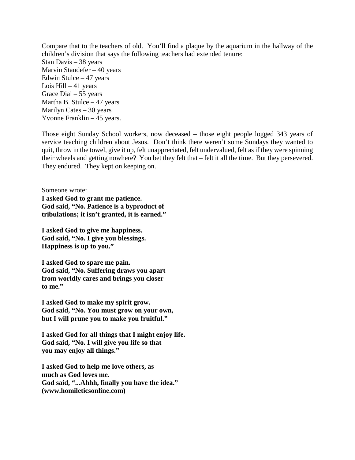Compare that to the teachers of old. You'll find a plaque by the aquarium in the hallway of the children's division that says the following teachers had extended tenure: Stan Davis – 38 years Marvin Standefer – 40 years Edwin Stulce – 47 years Lois Hill  $-41$  years Grace Dial – 55 years Martha B. Stulce  $-47$  years Marilyn Cates – 30 years Yvonne Franklin – 45 years.

Those eight Sunday School workers, now deceased – those eight people logged 343 years of service teaching children about Jesus. Don't think there weren't some Sundays they wanted to quit, throw in the towel, give it up, felt unappreciated, felt undervalued, felt as if they were spinning their wheels and getting nowhere? You bet they felt that – felt it all the time. But they persevered. They endured. They kept on keeping on.

Someone wrote: **I asked God to grant me patience. God said, "No. Patience is a byproduct of tribulations; it isn't granted, it is earned."**

**I asked God to give me happiness. God said, "No. I give you blessings. Happiness is up to you."**

**I asked God to spare me pain. God said, "No. Suffering draws you apart from worldly cares and brings you closer to me."**

**I asked God to make my spirit grow. God said, "No. You must grow on your own, but I will prune you to make you fruitful."**

**I asked God for all things that I might enjoy life. God said, "No. I will give you life so that you may enjoy all things."**

**I asked God to help me love others, as much as God loves me. God said, "...Ahhh, finally you have the idea." (www.homileticsonline.com)**